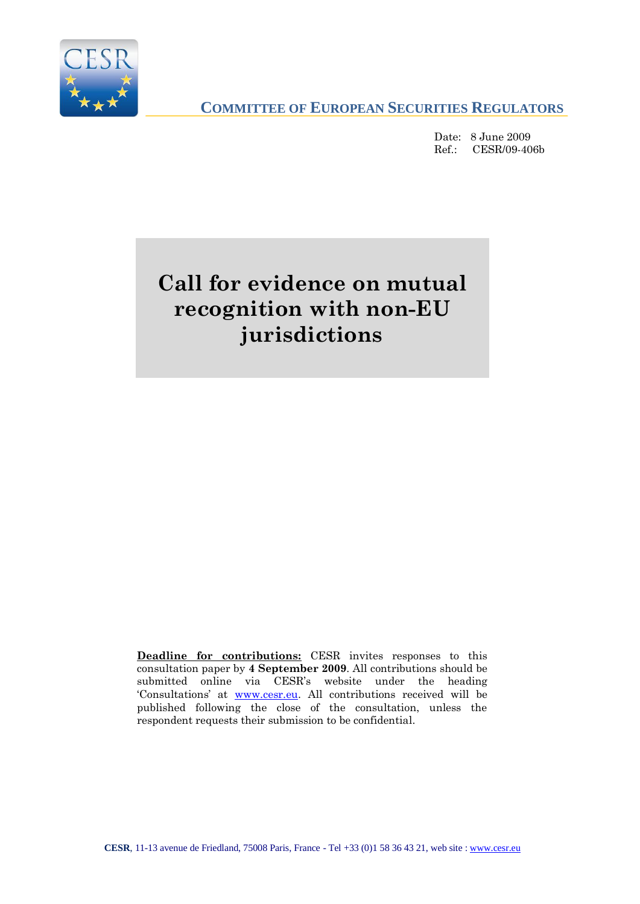

**COMMITTEE OF EUROPEAN SECURITIES REGULATORS**

Date: 8 June 2009 Ref.: CESR/09-406b

# **Call for evidence on mutual recognition with non-EU jurisdictions**

**Deadline for contributions:** CESR invites responses to this consultation paper by **4 September 2009**. All contributions should be submitted online via CESR"s website under the heading 'Consultations' at [www.cesr.eu.](http://www.cesr.eu/) All contributions received will be published following the close of the consultation, unless the respondent requests their submission to be confidential.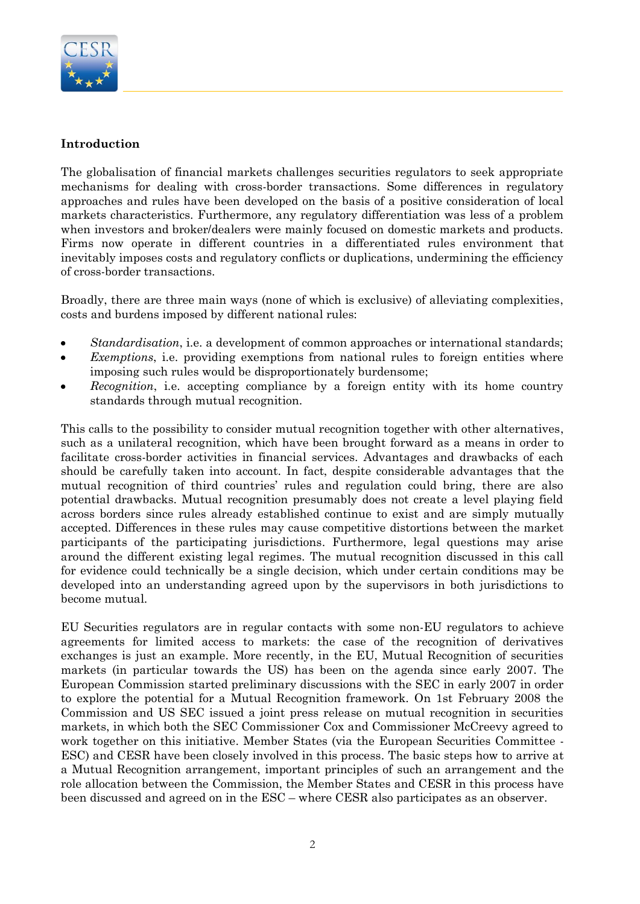

#### **Introduction**

The globalisation of financial markets challenges securities regulators to seek appropriate mechanisms for dealing with cross-border transactions. Some differences in regulatory approaches and rules have been developed on the basis of a positive consideration of local markets characteristics. Furthermore, any regulatory differentiation was less of a problem when investors and broker/dealers were mainly focused on domestic markets and products. Firms now operate in different countries in a differentiated rules environment that inevitably imposes costs and regulatory conflicts or duplications, undermining the efficiency of cross-border transactions.

Broadly, there are three main ways (none of which is exclusive) of alleviating complexities, costs and burdens imposed by different national rules:

- *Standardisation*, i.e. a development of common approaches or international standards;
- *Exemptions*, i.e. providing exemptions from national rules to foreign entities where  $\bullet$ imposing such rules would be disproportionately burdensome;
- *Recognition*, i.e. accepting compliance by a foreign entity with its home country  $\bullet$ standards through mutual recognition.

This calls to the possibility to consider mutual recognition together with other alternatives, such as a unilateral recognition, which have been brought forward as a means in order to facilitate cross-border activities in financial services. Advantages and drawbacks of each should be carefully taken into account. In fact, despite considerable advantages that the mutual recognition of third countries" rules and regulation could bring, there are also potential drawbacks. Mutual recognition presumably does not create a level playing field across borders since rules already established continue to exist and are simply mutually accepted. Differences in these rules may cause competitive distortions between the market participants of the participating jurisdictions. Furthermore, legal questions may arise around the different existing legal regimes. The mutual recognition discussed in this call for evidence could technically be a single decision, which under certain conditions may be developed into an understanding agreed upon by the supervisors in both jurisdictions to become mutual.

EU Securities regulators are in regular contacts with some non-EU regulators to achieve agreements for limited access to markets: the case of the recognition of derivatives exchanges is just an example. More recently, in the EU, Mutual Recognition of securities markets (in particular towards the US) has been on the agenda since early 2007. The European Commission started preliminary discussions with the SEC in early 2007 in order to explore the potential for a Mutual Recognition framework. On 1st February 2008 the Commission and US SEC issued a joint press release on mutual recognition in securities markets, in which both the SEC Commissioner Cox and Commissioner McCreevy agreed to work together on this initiative. Member States (via the European Securities Committee -ESC) and CESR have been closely involved in this process. The basic steps how to arrive at a Mutual Recognition arrangement, important principles of such an arrangement and the role allocation between the Commission, the Member States and CESR in this process have been discussed and agreed on in the ESC – where CESR also participates as an observer.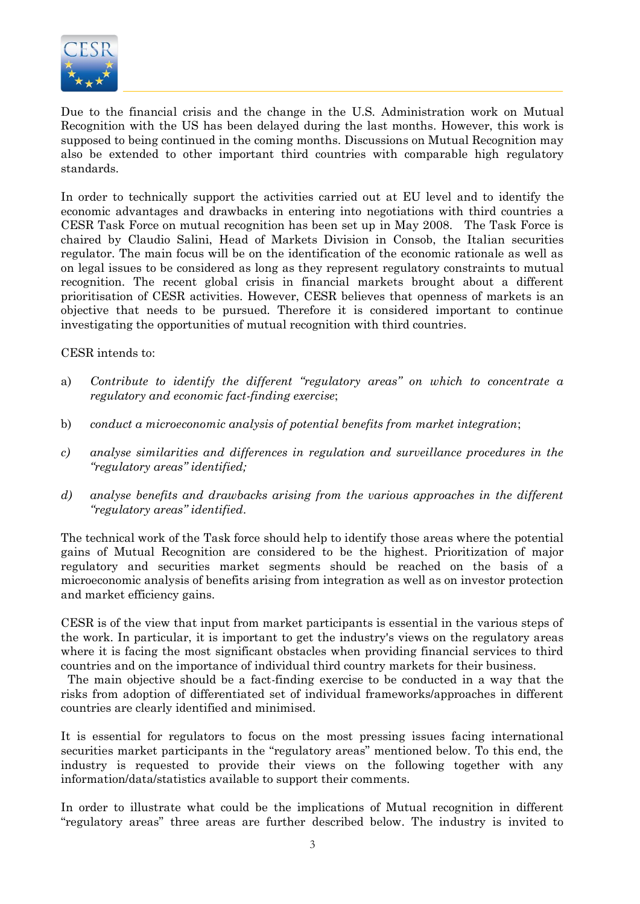

Due to the financial crisis and the change in the U.S. Administration work on Mutual Recognition with the US has been delayed during the last months. However, this work is supposed to being continued in the coming months. Discussions on Mutual Recognition may also be extended to other important third countries with comparable high regulatory standards.

In order to technically support the activities carried out at EU level and to identify the economic advantages and drawbacks in entering into negotiations with third countries a CESR Task Force on mutual recognition has been set up in May 2008. The Task Force is chaired by Claudio Salini, Head of Markets Division in Consob, the Italian securities regulator. The main focus will be on the identification of the economic rationale as well as on legal issues to be considered as long as they represent regulatory constraints to mutual recognition. The recent global crisis in financial markets brought about a different prioritisation of CESR activities. However, CESR believes that openness of markets is an objective that needs to be pursued. Therefore it is considered important to continue investigating the opportunities of mutual recognition with third countries.

CESR intends to:

- a) *Contribute to identify the different "regulatory areas" on which to concentrate a regulatory and economic fact-finding exercise*;
- b) *conduct a microeconomic analysis of potential benefits from market integration*;
- *c) analyse similarities and differences in regulation and surveillance procedures in the "regulatory areas" identified;*
- *d) analyse benefits and drawbacks arising from the various approaches in the different "regulatory areas" identified*.

The technical work of the Task force should help to identify those areas where the potential gains of Mutual Recognition are considered to be the highest. Prioritization of major regulatory and securities market segments should be reached on the basis of a microeconomic analysis of benefits arising from integration as well as on investor protection and market efficiency gains.

CESR is of the view that input from market participants is essential in the various steps of the work. In particular, it is important to get the industry's views on the regulatory areas where it is facing the most significant obstacles when providing financial services to third countries and on the importance of individual third country markets for their business.

 The main objective should be a fact-finding exercise to be conducted in a way that the risks from adoption of differentiated set of individual frameworks/approaches in different countries are clearly identified and minimised.

It is essential for regulators to focus on the most pressing issues facing international securities market participants in the "regulatory areas" mentioned below. To this end, the industry is requested to provide their views on the following together with any information/data/statistics available to support their comments.

In order to illustrate what could be the implications of Mutual recognition in different "regulatory areas" three areas are further described below. The industry is invited to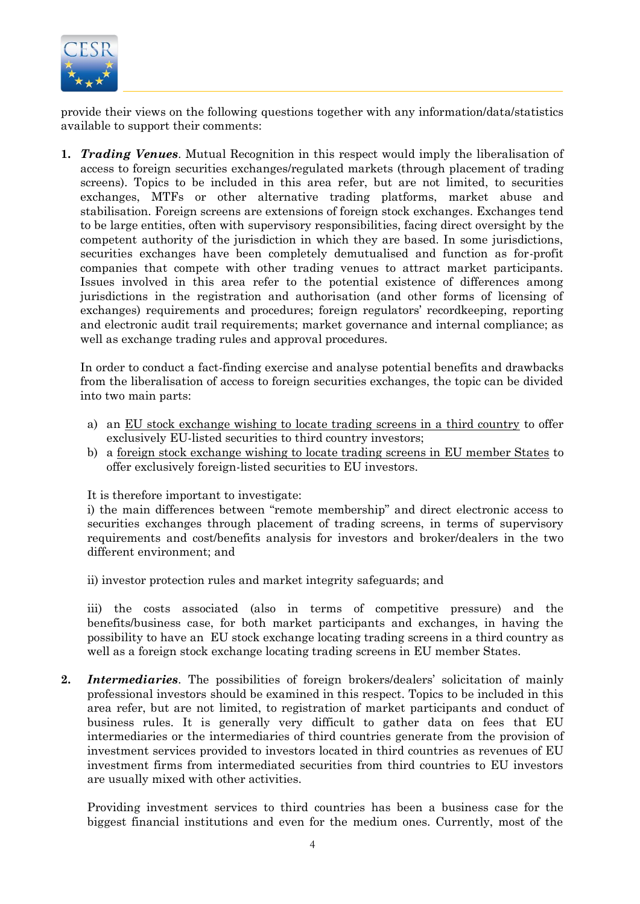

provide their views on the following questions together with any information/data/statistics available to support their comments:

**1.** *Trading Venues*. Mutual Recognition in this respect would imply the liberalisation of access to foreign securities exchanges/regulated markets (through placement of trading screens). Topics to be included in this area refer, but are not limited, to securities exchanges, MTFs or other alternative trading platforms, market abuse and stabilisation. Foreign screens are extensions of foreign stock exchanges. Exchanges tend to be large entities, often with supervisory responsibilities, facing direct oversight by the competent authority of the jurisdiction in which they are based. In some jurisdictions, securities exchanges have been completely demutualised and function as for-profit companies that compete with other trading venues to attract market participants. Issues involved in this area refer to the potential existence of differences among jurisdictions in the registration and authorisation (and other forms of licensing of exchanges) requirements and procedures; foreign regulators' recordkeeping, reporting and electronic audit trail requirements; market governance and internal compliance; as well as exchange trading rules and approval procedures.

In order to conduct a fact-finding exercise and analyse potential benefits and drawbacks from the liberalisation of access to foreign securities exchanges, the topic can be divided into two main parts:

- a) an EU stock exchange wishing to locate trading screens in a third country to offer exclusively EU-listed securities to third country investors;
- b) a foreign stock exchange wishing to locate trading screens in EU member States to offer exclusively foreign-listed securities to EU investors.

It is therefore important to investigate:

i) the main differences between "remote membership" and direct electronic access to securities exchanges through placement of trading screens, in terms of supervisory requirements and cost/benefits analysis for investors and broker/dealers in the two different environment; and

ii) investor protection rules and market integrity safeguards; and

iii) the costs associated (also in terms of competitive pressure) and the benefits/business case, for both market participants and exchanges, in having the possibility to have an EU stock exchange locating trading screens in a third country as well as a foreign stock exchange locating trading screens in EU member States.

2. *Intermediaries*. The possibilities of foreign brokers/dealers' solicitation of mainly professional investors should be examined in this respect. Topics to be included in this area refer, but are not limited, to registration of market participants and conduct of business rules. It is generally very difficult to gather data on fees that EU intermediaries or the intermediaries of third countries generate from the provision of investment services provided to investors located in third countries as revenues of EU investment firms from intermediated securities from third countries to EU investors are usually mixed with other activities.

Providing investment services to third countries has been a business case for the biggest financial institutions and even for the medium ones. Currently, most of the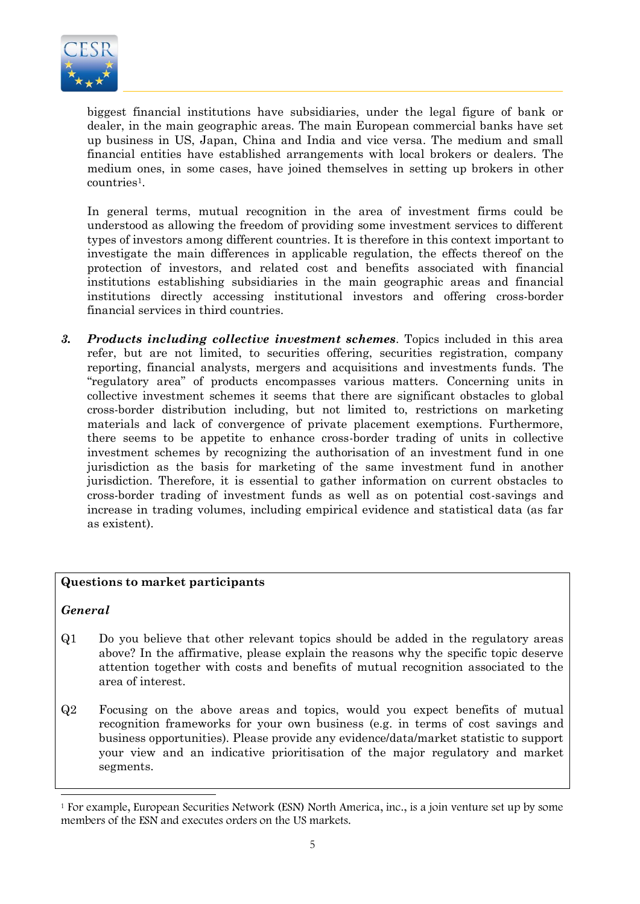

biggest financial institutions have subsidiaries, under the legal figure of bank or dealer, in the main geographic areas. The main European commercial banks have set up business in US, Japan, China and India and vice versa. The medium and small financial entities have established arrangements with local brokers or dealers. The medium ones, in some cases, have joined themselves in setting up brokers in other countries<sup>1</sup>.

In general terms, mutual recognition in the area of investment firms could be understood as allowing the freedom of providing some investment services to different types of investors among different countries. It is therefore in this context important to investigate the main differences in applicable regulation, the effects thereof on the protection of investors, and related cost and benefits associated with financial institutions establishing subsidiaries in the main geographic areas and financial institutions directly accessing institutional investors and offering cross-border financial services in third countries.

*3. Products including collective investment schemes*. Topics included in this area refer, but are not limited, to securities offering, securities registration, company reporting, financial analysts, mergers and acquisitions and investments funds. The "regulatory area" of products encompasses various matters. Concerning units in collective investment schemes it seems that there are significant obstacles to global cross-border distribution including, but not limited to, restrictions on marketing materials and lack of convergence of private placement exemptions. Furthermore, there seems to be appetite to enhance cross-border trading of units in collective investment schemes by recognizing the authorisation of an investment fund in one jurisdiction as the basis for marketing of the same investment fund in another jurisdiction. Therefore, it is essential to gather information on current obstacles to cross-border trading of investment funds as well as on potential cost-savings and increase in trading volumes, including empirical evidence and statistical data (as far as existent).

#### **Questions to market participants**

*General*

- Q1 Do you believe that other relevant topics should be added in the regulatory areas above? In the affirmative, please explain the reasons why the specific topic deserve attention together with costs and benefits of mutual recognition associated to the area of interest.
- Q2 Focusing on the above areas and topics, would you expect benefits of mutual recognition frameworks for your own business (e.g. in terms of cost savings and business opportunities). Please provide any evidence/data/market statistic to support your view and an indicative prioritisation of the major regulatory and market segments.

Ī <sup>1</sup> For example, European Securities Network (ESN) North America, inc., is a join venture set up by some members of the ESN and executes orders on the US markets.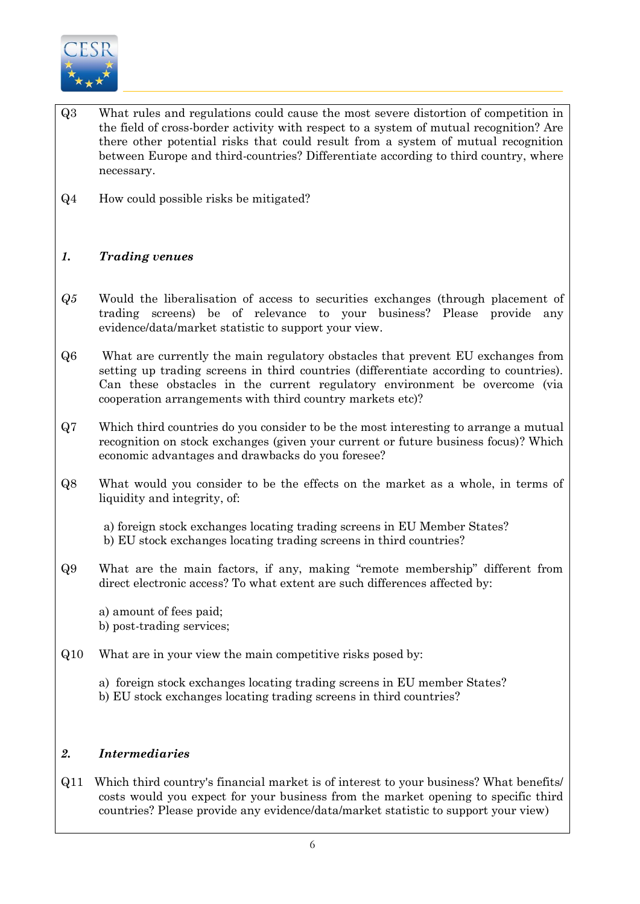

- Q3 What rules and regulations could cause the most severe distortion of competition in the field of cross-border activity with respect to a system of mutual recognition? Are there other potential risks that could result from a system of mutual recognition between Europe and third-countries? Differentiate according to third country, where necessary.
- Q4 How could possible risks be mitigated?

## *1. Trading venues*

- *Q5* Would the liberalisation of access to securities exchanges (through placement of trading screens) be of relevance to your business? Please provide any evidence/data/market statistic to support your view.
- Q6 What are currently the main regulatory obstacles that prevent EU exchanges from setting up trading screens in third countries (differentiate according to countries). Can these obstacles in the current regulatory environment be overcome (via cooperation arrangements with third country markets etc)?
- Q7 Which third countries do you consider to be the most interesting to arrange a mutual recognition on stock exchanges (given your current or future business focus)? Which economic advantages and drawbacks do you foresee?
- Q8 What would you consider to be the effects on the market as a whole, in terms of liquidity and integrity, of:
	- a) foreign stock exchanges locating trading screens in EU Member States?
	- b) EU stock exchanges locating trading screens in third countries?
- Q9 What are the main factors, if any, making "remote membership" different from direct electronic access? To what extent are such differences affected by:

a) amount of fees paid; b) post-trading services;

### Q10 What are in your view the main competitive risks posed by:

a) foreign stock exchanges locating trading screens in EU member States? b) EU stock exchanges locating trading screens in third countries?

### *2. Intermediaries*

Q11 Which third country's financial market is of interest to your business? What benefits/ costs would you expect for your business from the market opening to specific third countries? Please provide any evidence/data/market statistic to support your view)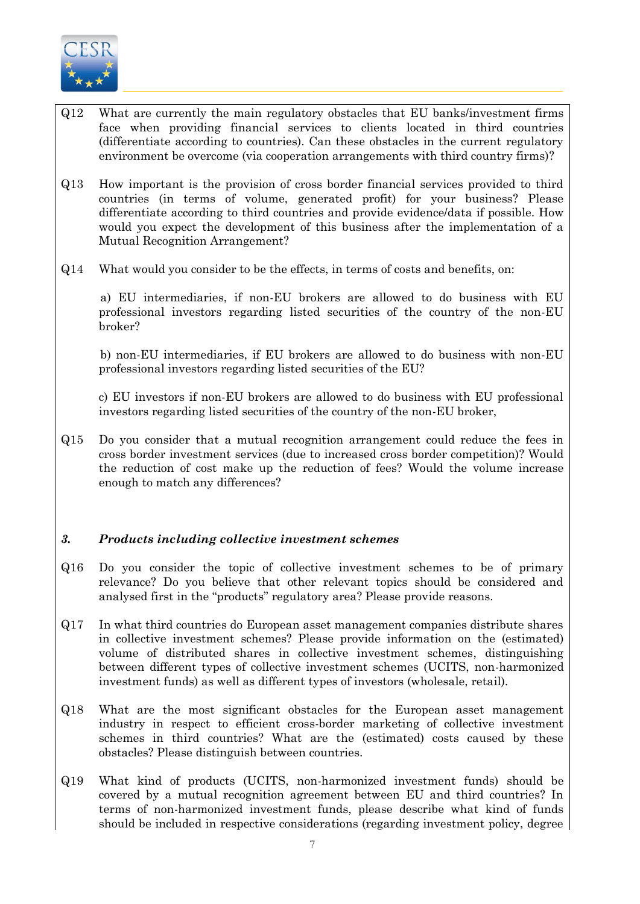

- Q12 What are currently the main regulatory obstacles that EU banks/investment firms face when providing financial services to clients located in third countries (differentiate according to countries). Can these obstacles in the current regulatory environment be overcome (via cooperation arrangements with third country firms)?
- Q13 How important is the provision of cross border financial services provided to third countries (in terms of volume, generated profit) for your business? Please differentiate according to third countries and provide evidence/data if possible. How would you expect the development of this business after the implementation of a Mutual Recognition Arrangement?
- Q14 What would you consider to be the effects, in terms of costs and benefits, on:

 a) EU intermediaries, if non-EU brokers are allowed to do business with EU professional investors regarding listed securities of the country of the non-EU broker?

 b) non-EU intermediaries, if EU brokers are allowed to do business with non-EU professional investors regarding listed securities of the EU?

c) EU investors if non-EU brokers are allowed to do business with EU professional investors regarding listed securities of the country of the non-EU broker,

Q15 Do you consider that a mutual recognition arrangement could reduce the fees in cross border investment services (due to increased cross border competition)? Would the reduction of cost make up the reduction of fees? Would the volume increase enough to match any differences?

### *3. Products including collective investment schemes*

- Q16 Do you consider the topic of collective investment schemes to be of primary relevance? Do you believe that other relevant topics should be considered and analysed first in the "products" regulatory area? Please provide reasons.
- Q17 In what third countries do European asset management companies distribute shares in collective investment schemes? Please provide information on the (estimated) volume of distributed shares in collective investment schemes, distinguishing between different types of collective investment schemes (UCITS, non-harmonized investment funds) as well as different types of investors (wholesale, retail).
- Q18 What are the most significant obstacles for the European asset management industry in respect to efficient cross-border marketing of collective investment schemes in third countries? What are the (estimated) costs caused by these obstacles? Please distinguish between countries.
- Q19 What kind of products (UCITS, non-harmonized investment funds) should be covered by a mutual recognition agreement between EU and third countries? In terms of non-harmonized investment funds, please describe what kind of funds should be included in respective considerations (regarding investment policy, degree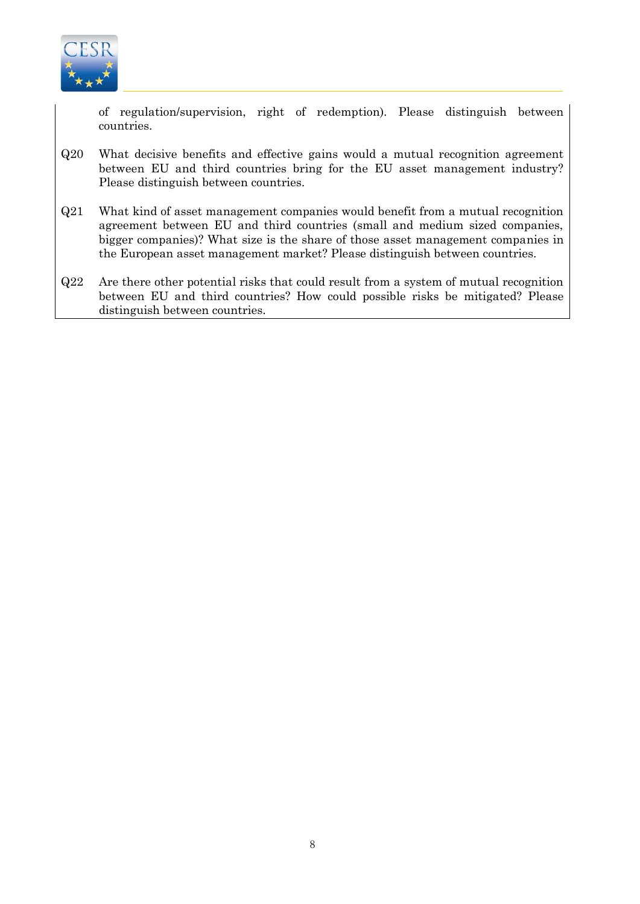

of regulation/supervision, right of redemption). Please distinguish between countries.

- Q20 What decisive benefits and effective gains would a mutual recognition agreement between EU and third countries bring for the EU asset management industry? Please distinguish between countries.
- Q21 What kind of asset management companies would benefit from a mutual recognition agreement between EU and third countries (small and medium sized companies, bigger companies)? What size is the share of those asset management companies in the European asset management market? Please distinguish between countries.
- Q22 Are there other potential risks that could result from a system of mutual recognition between EU and third countries? How could possible risks be mitigated? Please distinguish between countries.